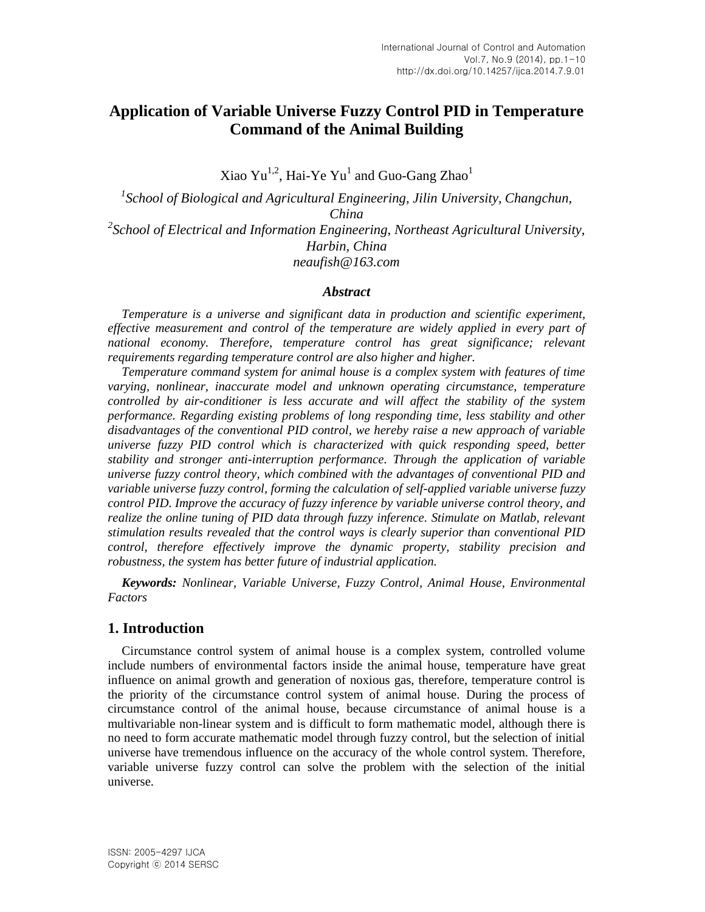# **Application of Variable Universe Fuzzy Control PID in Temperature Command of the Animal Building**

Xiao Yu $^{1,2}$ , Hai-Ye Yu $^{\rm l}$  and Guo-Gang Zhao $^{\rm l}$ 

*1 School of Biological and Agricultural Engineering, Jilin University, Changchun, China 2 School of Electrical and Information Engineering, Northeast Agricultural University, Harbin, China neaufish@163.com*

### *Abstract*

*Temperature is a universe and significant data in production and scientific experiment, effective measurement and control of the temperature are widely applied in every part of* national economy. Therefore, temperature control has great significance; relevant *requirements regarding temperature control are also higher and higher.*

*Temperature command system for animal house is a complex system with features of time varying, nonlinear, inaccurate model and unknown operating circumstance, temperature controlled by air-conditioner is less accurate and will affect the stability of the system performance. Regarding existing problems of long responding time, less stability and other disadvantages of the conventional PID control, we hereby raise a new approach of variable universe fuzzy PID control which is characterized with quick responding speed, better stability and stronger anti-interruption performance. Through the application of variable universe fuzzy control theory, which combined with the advantages of conventional PID and variable universe fuzzy control, forming the calculation of self-applied variable universe fuzzy control PID. Improve the accuracy of fuzzy inference by variable universe control theory, and realize the online tuning of PID data through fuzzy inference. Stimulate on Matlab, relevant stimulation results revealed that the control ways is clearly superior than conventional PID control, therefore effectively improve the dynamic property, stability precision and robustness, the system has better future of industrial application.*

*Keywords: Nonlinear, Variable Universe, Fuzzy Control, Animal House, Environmental Factors*

### **1. Introduction**

Circumstance control system of animal house is a complex system, controlled volume include numbers of environmental factors inside the animal house, temperature have great influence on animal growth and generation of noxious gas, therefore, temperature control is the priority of the circumstance control system of animal house. During the process of circumstance control of the animal house, because circumstance of animal house is a multivariable non-linear system and is difficult to form mathematic model, although there is no need to form accurate mathematic model through fuzzy control, but the selection of initial universe have tremendous influence on the accuracy of the whole control system. Therefore, variable universe fuzzy control can solve the problem with the selection of the initial universe.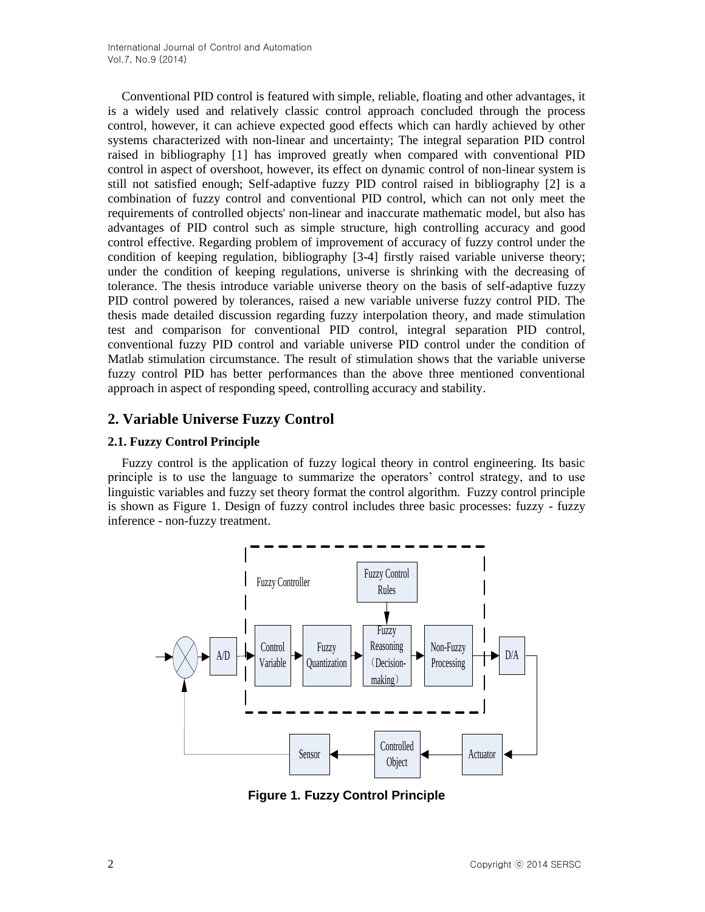Conventional PID control is featured with simple, reliable, floating and other advantages, it is a widely used and relatively classic control approach concluded through the process control, however, it can achieve expected good effects which can hardly achieved by other systems characterized with non-linear and uncertainty; The integral separation PID control raised in bibliography [1] has improved greatly when compared with conventional PID control in aspect of overshoot, however, its effect on dynamic control of non-linear system is still not satisfied enough; Self-adaptive fuzzy PID control raised in bibliography [2] is a combination of fuzzy control and conventional PID control, which can not only meet the requirements of controlled objects' non-linear and inaccurate mathematic model, but also has advantages of PID control such as simple structure, high controlling accuracy and good control effective. Regarding problem of improvement of accuracy of fuzzy control under the condition of keeping regulation, bibliography [3-4] firstly raised variable universe theory; under the condition of keeping regulations, universe is shrinking with the decreasing of tolerance. The thesis introduce variable universe theory on the basis of self-adaptive fuzzy PID control powered by tolerances, raised a new variable universe fuzzy control PID. The thesis made detailed discussion regarding fuzzy interpolation theory, and made stimulation test and comparison for conventional PID control, integral separation PID control, conventional fuzzy PID control and variable universe PID control under the condition of Matlab stimulation circumstance. The result of stimulation shows that the variable universe fuzzy control PID has better performances than the above three mentioned conventional approach in aspect of responding speed, controlling accuracy and stability.

## **2. Variable Universe Fuzzy Control**

## **2.1. Fuzzy Control Principle**

Fuzzy control is the application of fuzzy logical theory in control engineering. Its basic principle is to use the language to summarize the operators' control strategy, and to use linguistic variables and fuzzy set theory format the control algorithm. Fuzzy control principle is shown as Figure 1. Design of fuzzy control includes three basic processes: fuzzy - fuzzy inference - non-fuzzy treatment.



**Figure 1. Fuzzy Control Principle**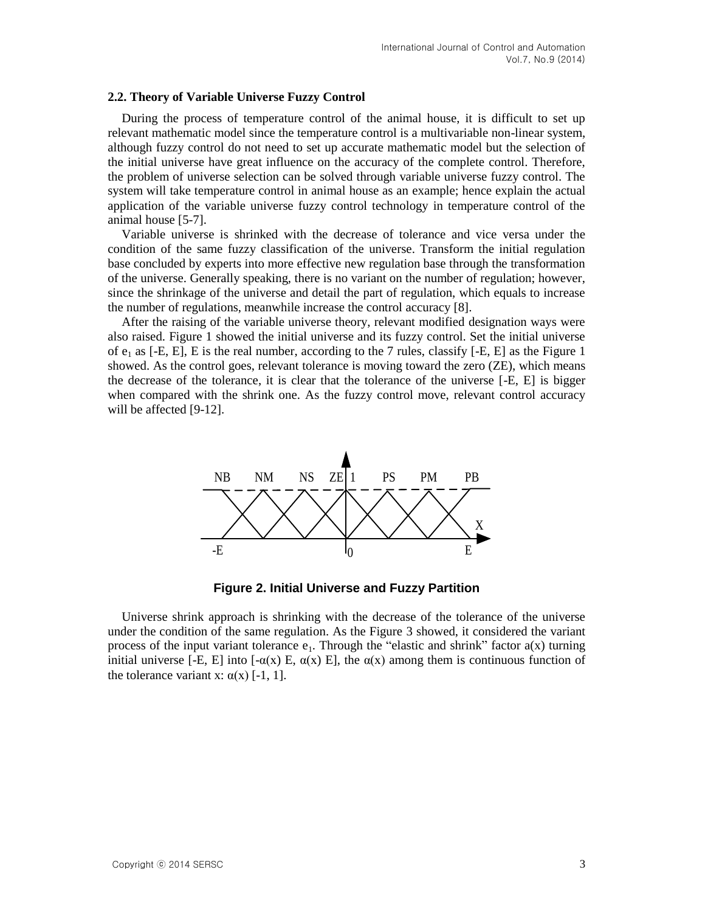#### **2.2. Theory of Variable Universe Fuzzy Control**

During the process of temperature control of the animal house, it is difficult to set up relevant mathematic model since the temperature control is a multivariable non-linear system, although fuzzy control do not need to set up accurate mathematic model but the selection of the initial universe have great influence on the accuracy of the complete control. Therefore, the problem of universe selection can be solved through variable universe fuzzy control. The system will take temperature control in animal house as an example; hence explain the actual application of the variable universe fuzzy control technology in temperature control of the animal house [5-7].

Variable universe is shrinked with the decrease of tolerance and vice versa under the condition of the same fuzzy classification of the universe. Transform the initial regulation base concluded by experts into more effective new regulation base through the transformation of the universe. Generally speaking, there is no variant on the number of regulation; however, since the shrinkage of the universe and detail the part of regulation, which equals to increase the number of regulations, meanwhile increase the control accuracy [8].

After the raising of the variable universe theory, relevant modified designation ways were also raised. Figure 1 showed the initial universe and its fuzzy control. Set the initial universe of  $e_1$  as [-E, E], E is the real number, according to the 7 rules, classify [-E, E] as the Figure 1 showed. As the control goes, relevant tolerance is moving toward the zero (ZE), which means the decrease of the tolerance, it is clear that the tolerance of the universe [-E, E] is bigger when compared with the shrink one. As the fuzzy control move, relevant control accuracy will be affected [9-12].



**Figure 2. Initial Universe and Fuzzy Partition**

Universe shrink approach is shrinking with the decrease of the tolerance of the universe under the condition of the same regulation. As the Figure 3 showed, it considered the variant process of the input variant tolerance  $e_1$ . Through the "elastic and shrink" factor  $a(x)$  turning initial universe [-E, E] into [- $\alpha(x)$  E,  $\alpha(x)$  E], the  $\alpha(x)$  among them is continuous function of the tolerance variant x:  $\alpha(x)$  [-1, 1].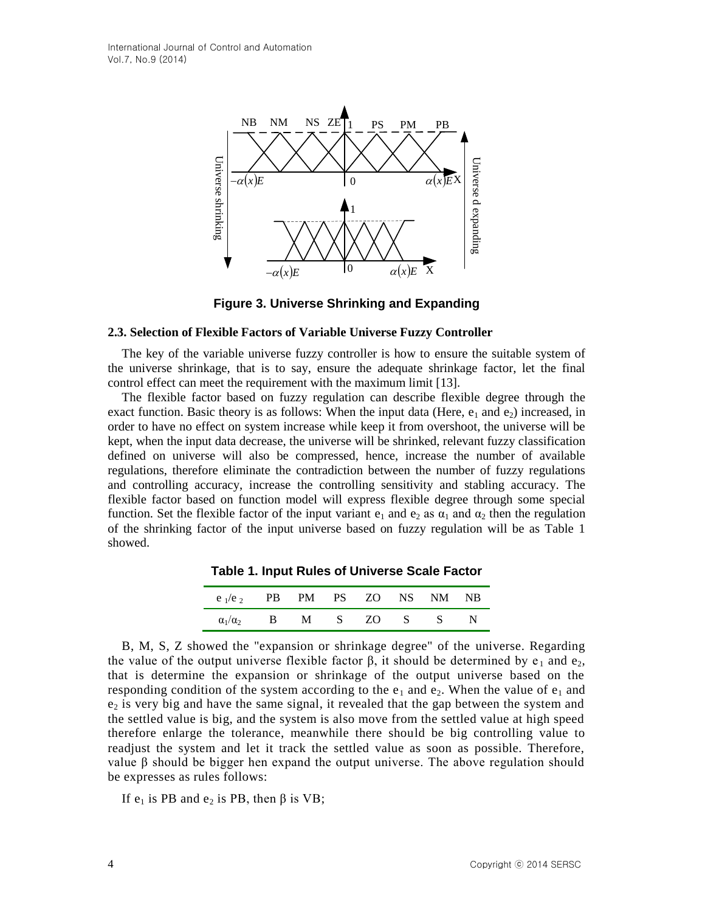

**Figure 3. Universe Shrinking and Expanding**

#### **2.3. Selection of Flexible Factors of Variable Universe Fuzzy Controller**

The key of the variable universe fuzzy controller is how to ensure the suitable system of the universe shrinkage, that is to say, ensure the adequate shrinkage factor, let the final control effect can meet the requirement with the maximum limit [13].

The flexible factor based on fuzzy regulation can describe flexible degree through the exact function. Basic theory is as follows: When the input data (Here,  $e_1$  and  $e_2$ ) increased, in order to have no effect on system increase while keep it from overshoot, the universe will be kept, when the input data decrease, the universe will be shrinked, relevant fuzzy classification defined on universe will also be compressed, hence, increase the number of available regulations, therefore eliminate the contradiction between the number of fuzzy regulations and controlling accuracy, increase the controlling sensitivity and stabling accuracy. The flexible factor based on function model will express flexible degree through some special function. Set the flexible factor of the input variant  $e_1$  and  $e_2$  as  $\alpha_1$  and  $\alpha_2$  then the regulation of the shrinking factor of the input universe based on fuzzy regulation will be as Table 1 showed.

| $e_1/e_2$           |   | PB PM PS ZO NS NM |             |     |     | NB |
|---------------------|---|-------------------|-------------|-----|-----|----|
| $\alpha_1/\alpha_2$ | В | M                 | $S_{\perp}$ | ZO. | - S |    |

**Table 1. Input Rules of Universe Scale Factor**

B, M, S, Z showed the "expansion or shrinkage degree" of the universe. Regarding the value of the output universe flexible factor  $\beta$ , it should be determined by e<sub>1</sub> and e<sub>2</sub>, that is determine the expansion or shrinkage of the output universe based on the responding condition of the system according to the  $e_1$  and  $e_2$ . When the value of  $e_1$  and  $e<sub>2</sub>$  is very big and have the same signal, it revealed that the gap between the system and the settled value is big, and the system is also move from the settled value at high speed therefore enlarge the tolerance, meanwhile there should be big controlling value to readjust the system and let it track the settled value as soon as possible. Therefore, value β should be bigger hen expand the output universe. The above regulation should be expresses as rules follows:

If  $e_1$  is PB and  $e_2$  is PB, then β is VB;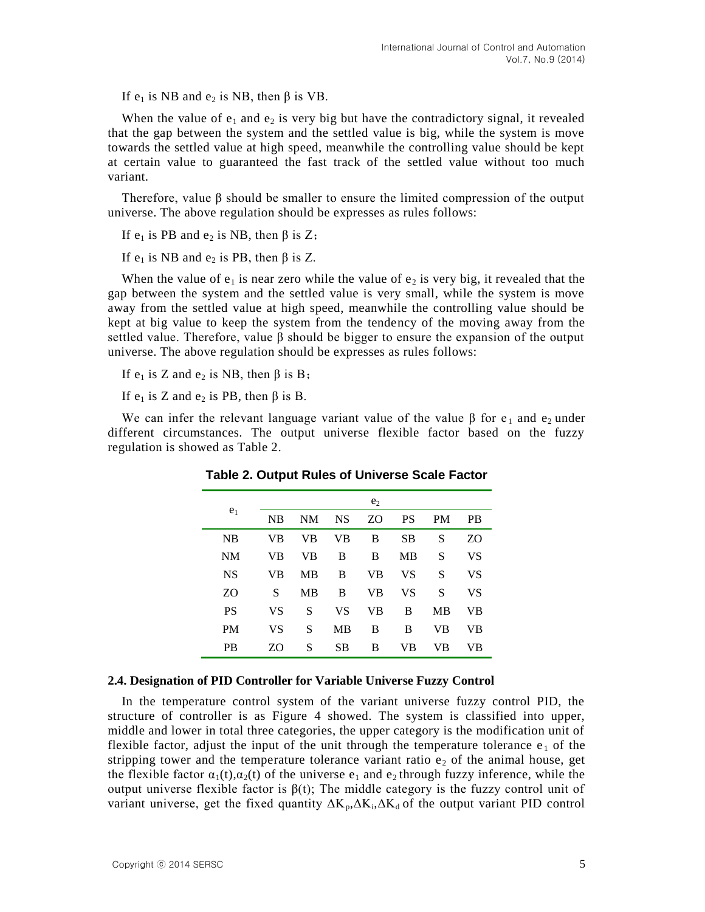If  $e_1$  is NB and  $e_2$  is NB, then  $\beta$  is VB.

When the value of  $e_1$  and  $e_2$  is very big but have the contradictory signal, it revealed that the gap between the system and the settled value is big, while the system is move towards the settled value at high speed, meanwhile the controlling value should be kept at certain value to guaranteed the fast track of the settled value without too much variant.

Therefore, value  $\beta$  should be smaller to ensure the limited compression of the output universe. The above regulation should be expresses as rules follows:

If  $e_1$  is PB and  $e_2$  is NB, then  $\beta$  is Z;

If  $e_1$  is NB and  $e_2$  is PB, then β is Z.

When the value of  $e_1$  is near zero while the value of  $e_2$  is very big, it revealed that the gap between the system and the settled value is very small, while the system is move away from the settled value at high speed, meanwhile the controlling value should be kept at big value to keep the system from the tendency of the moving away from the settled value. Therefore, value  $\beta$  should be bigger to ensure the expansion of the output universe. The above regulation should be expresses as rules follows:

If  $e_1$  is Z and  $e_2$  is NB, then  $\beta$  is B;

If  $e_1$  is Z and  $e_2$  is PB, then  $\beta$  is B.

We can infer the relevant language variant value of the value  $\beta$  for e<sub>1</sub> and e<sub>2</sub> under different circumstances. The output universe flexible factor based on the fuzzy regulation is showed as Table 2.

| e <sub>1</sub> | e <sub>2</sub> |           |           |    |           |           |           |  |  |
|----------------|----------------|-----------|-----------|----|-----------|-----------|-----------|--|--|
|                | NB             | NΜ        | <b>NS</b> | ZO | <b>PS</b> | <b>PM</b> | <b>PB</b> |  |  |
| NB             | VB             | VB        | VB        | B  | <b>SB</b> | S         | ZO        |  |  |
| NM             | VB             | VB        | B         | B  | MВ        | S         | VS        |  |  |
| <b>NS</b>      | VB             | MВ        | B         | VB | VS        | S         | VS        |  |  |
| ZO             | S              | <b>MB</b> | B         | VB | VS        | S         | VS        |  |  |
| <b>PS</b>      | VS             | S         | VS        | VB | B         | <b>MB</b> | VВ        |  |  |
| <b>PM</b>      | VS             | S         | <b>MB</b> | B  | B         | VB        | VB        |  |  |
| <b>PB</b>      | ZΟ             | S         | SВ        | B  | VB        | VB        | VB        |  |  |

**Table 2. Output Rules of Universe Scale Factor**

#### **2.4. Designation of PID Controller for Variable Universe Fuzzy Control**

In the temperature control system of the variant universe fuzzy control PID, the structure of controller is as Figure 4 showed. The system is classified into upper, middle and lower in total three categories, the upper category is the modification unit of flexible factor, adjust the input of the unit through the temperature tolerance  $e_1$  of the stripping tower and the temperature tolerance variant ratio  $e_2$  of the animal house, get the flexible factor  $\alpha_1(t), \alpha_2(t)$  of the universe  $e_1$  and  $e_2$  through fuzzy inference, while the output universe flexible factor is β(t); The middle category is the fuzzy control unit of variant universe, get the fixed quantity  $\Delta K_p$ ,  $\Delta K_d$ ,  $\Delta K_d$  of the output variant PID control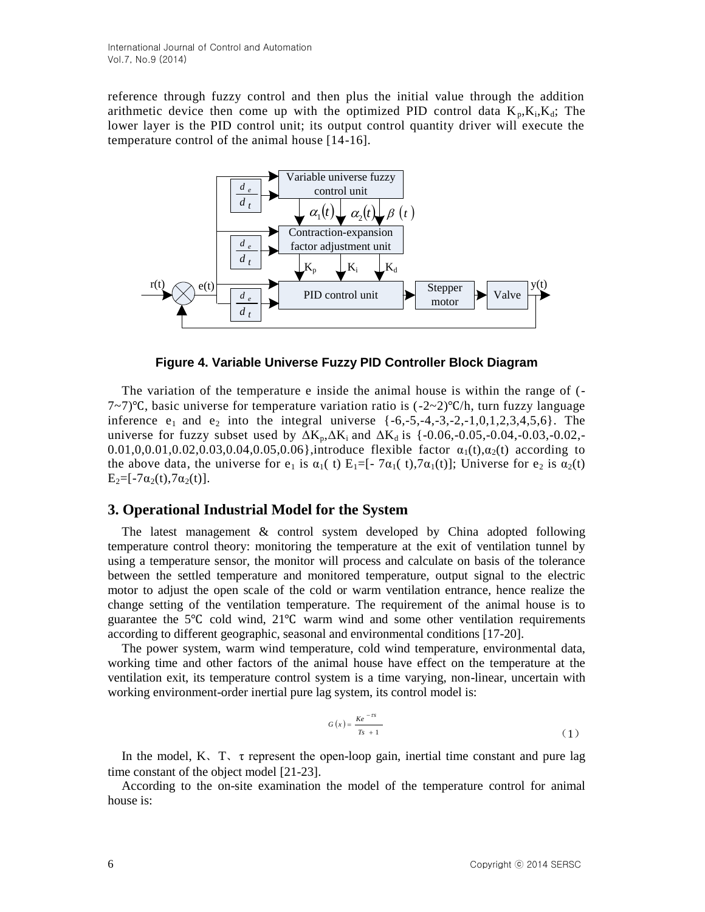reference through fuzzy control and then plus the initial value through the addition arithmetic device then come up with the optimized PID control data  $K_p, K_i, K_d$ ; The lower layer is the PID control unit; its output control quantity driver will execute the temperature control of the animal house [14-16].



**Figure 4. Variable Universe Fuzzy PID Controller Block Diagram**

The variation of the temperature e inside the animal house is within the range of (- 7~7)℃, basic universe for temperature variation ratio is (-2~2)℃/h, turn fuzzy language inference  $e_1$  and  $e_2$  into the integral universe  $\{-6,-5,-4,-3,-2,-1,0,1,2,3,4,5,6\}$ . The universe for fuzzy subset used by  $\Delta K_p, \Delta K_i$  and  $\Delta K_d$  is {-0.06,-0.05,-0.04,-0.03,-0.02,-0.01,0,0.01,0.02,0.03,0.04,0.05,0.06},introduce flexible factor  $\alpha_1(t), \alpha_2(t)$  according to the above data, the universe for  $e_1$  is  $\alpha_1(t)$  E<sub>1</sub>=[-7 $\alpha_1(t)$ ,7 $\alpha_1(t)$ ]; Universe for  $e_2$  is  $\alpha_2(t)$  $E_2 = [-7\alpha_2(t), 7\alpha_2(t)].$ 

## **3. Operational Industrial Model for the System**

The latest management & control system developed by China adopted following temperature control theory: monitoring the temperature at the exit of ventilation tunnel by using a temperature sensor, the monitor will process and calculate on basis of the tolerance between the settled temperature and monitored temperature, output signal to the electric motor to adjust the open scale of the cold or warm ventilation entrance, hence realize the change setting of the ventilation temperature. The requirement of the animal house is to guarantee the 5℃ cold wind, 21℃ warm wind and some other ventilation requirements according to different geographic, seasonal and environmental conditions [17-20].

The power system, warm wind temperature, cold wind temperature, environmental data, working time and other factors of the animal house have effect on the temperature at the ventilation exit, its temperature control system is a time varying, non-linear, uncertain with working environment-order inertial pure lag system, its control model is:

$$
G(x) = \frac{Ke^{-\tau s}}{Ts + 1}
$$
 (1)

In the model,  $K<sub>1</sub>$ ,  $\tau$  represent the open-loop gain, inertial time constant and pure lag time constant of the object model [21-23].

According to the on-site examination the model of the temperature control for animal house is: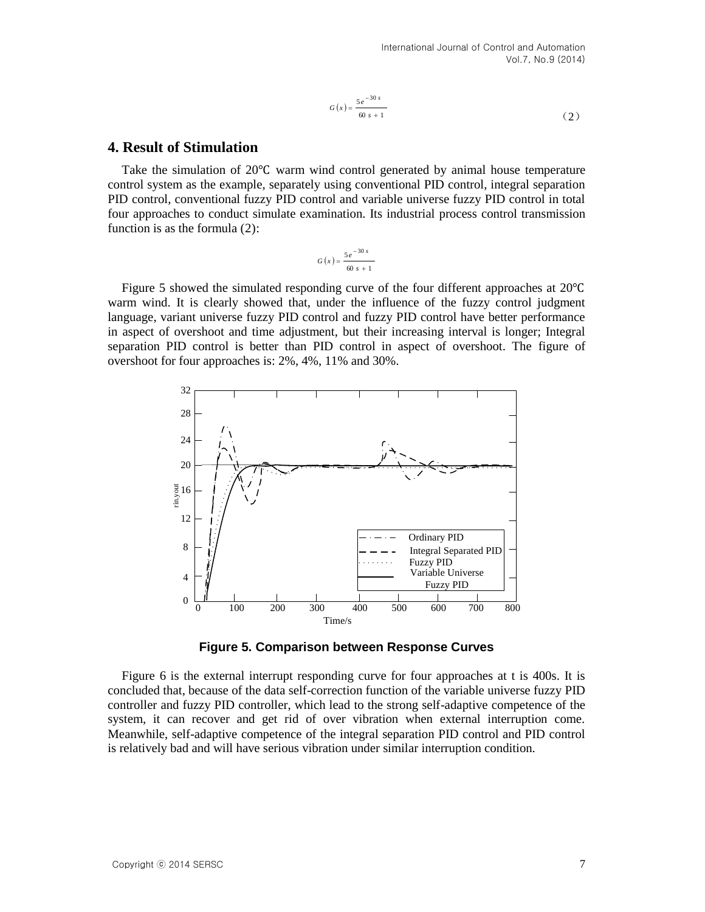$$
G(x) = \frac{5e^{-30s}}{60s + 1}
$$
 (2)

## **4. Result of Stimulation**

Take the simulation of 20℃ warm wind control generated by animal house temperature control system as the example, separately using conventional PID control, integral separation PID control, conventional fuzzy PID control and variable universe fuzzy PID control in total four approaches to conduct simulate examination. Its industrial process control transmission function is as the formula (2):

$$
G\left(x\right) = \frac{5e^{-30 s}}{60 s + 1}
$$

Figure 5 showed the simulated responding curve of the four different approaches at 20℃ warm wind. It is clearly showed that, under the influence of the fuzzy control judgment language, variant universe fuzzy PID control and fuzzy PID control have better performance in aspect of overshoot and time adjustment, but their increasing interval is longer; Integral separation PID control is better than PID control in aspect of overshoot. The figure of overshoot for four approaches is: 2%, 4%, 11% and 30%.



**Figure 5. Comparison between Response Curves**

Figure 6 is the external interrupt responding curve for four approaches at t is 400s. It is concluded that, because of the data self-correction function of the variable universe fuzzy PID controller and fuzzy PID controller, which lead to the strong self-adaptive competence of the system, it can recover and get rid of over vibration when external interruption come. Meanwhile, self-adaptive competence of the integral separation PID control and PID control is relatively bad and will have serious vibration under similar interruption condition.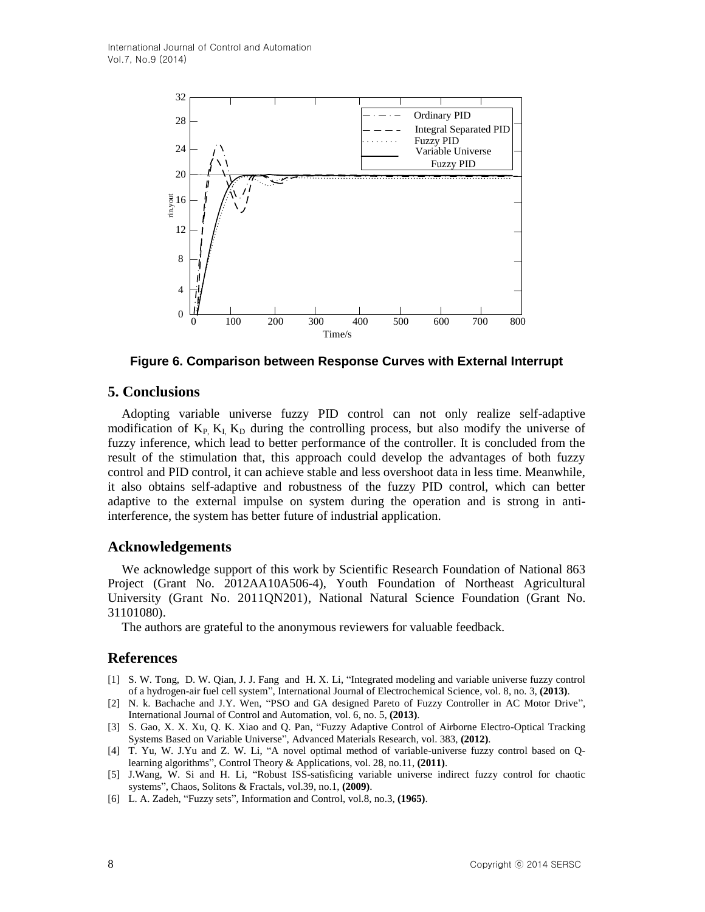

**Figure 6. Comparison between Response Curves with External Interrupt**

### **5. Conclusions**

Adopting variable universe fuzzy PID control can not only realize self-adaptive modification of  $K_{P_1} K_L K_D$  during the controlling process, but also modify the universe of fuzzy inference, which lead to better performance of the controller. It is concluded from the result of the stimulation that, this approach could develop the advantages of both fuzzy control and PID control, it can achieve stable and less overshoot data in less time. Meanwhile, it also obtains self-adaptive and robustness of the fuzzy PID control, which can better adaptive to the external impulse on system during the operation and is strong in antiinterference, the system has better future of industrial application.

### **Acknowledgements**

We acknowledge support of this work by Scientific Research Foundation of National 863 Project (Grant No. 2012AA10A506-4), Youth Foundation of Northeast Agricultural University (Grant No. 2011QN201), National Natural Science Foundation (Grant No. 31101080).

The authors are grateful to the anonymous reviewers for valuable feedback.

### **References**

- [1] S. W. Tong, D. W. Qian, J. J. Fang and H. X. Li, "Integrated modeling and variable universe fuzzy control of a hydrogen-air fuel cell system", International Journal of Electrochemical Science, vol. 8, no. 3, **(2013)**.
- [2] N. k. Bachache and J.Y. Wen, "PSO and GA designed Pareto of Fuzzy Controller in AC Motor Drive", International Journal of Control and Automation, vol. 6, no. 5, **(2013)**.
- [3] S. Gao, X. X. Xu, Q. K. Xiao and Q. Pan, "Fuzzy Adaptive Control of Airborne Electro-Optical Tracking Systems Based on Variable Universe", Advanced Materials Research, vol. 383, **(2012)**.
- [4] T. Yu, W. J.Yu and Z. W. Li, "A novel optimal method of variable-universe fuzzy control based on Qlearning algorithms", Control Theory & Applications, vol. 28, no.11, **(2011)**.
- [5] J.Wang, W. Si and H. Li, "Robust ISS-satisficing variable universe indirect fuzzy control for chaotic systems", Chaos, Solitons & Fractals, vol.39, no.1, **(2009)**.
- [6] L. A. Zadeh, "Fuzzy sets", Information and Control, vol.8, no.3, **(1965)**.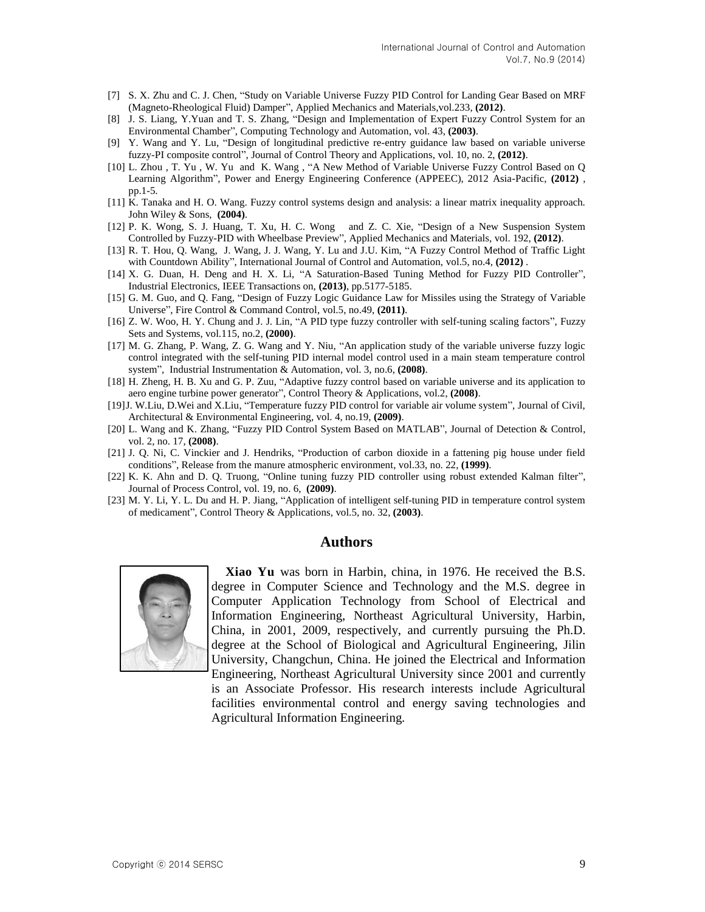- [7] S. X. Zhu and C. J. Chen, "Study on Variable Universe Fuzzy PID Control for Landing Gear Based on MRF (Magneto-Rheological Fluid) Damper", Applied Mechanics and Materials,vol.233, **(2012)**.
- [8] J. S. Liang, Y.Yuan and T. S. Zhang, "Design and Implementation of Expert Fuzzy Control System for an Environmental Chamber", Computing Technology and Automation, vol. 43, **(2003)**.
- [9] Y. Wang and Y. Lu, "Design of longitudinal predictive re-entry guidance law based on variable universe fuzzy-PI composite control", Journal of Control Theory and Applications, vol. 10, no. 2, **(2012)**.
- [10] L. Zhou , T. Yu , W. Yu and K. Wang , "A New Method of Variable Universe Fuzzy Control Based on Q Learning Algorithm", Power and Energy Engineering Conference (APPEEC), 2012 Asia-Pacific, **(2012)** , pp.1-5.
- [11] K. Tanaka and H. O. Wang. Fuzzy control systems design and analysis: a linear matrix inequality approach. John Wiley & Sons, **(2004)**.
- [12] P. K. Wong, S. J. Huang, T. Xu, H. C. Wong and Z. C. Xie, "Design of a New Suspension System Controlled by Fuzzy-PID with Wheelbase Preview", Applied Mechanics and Materials, vol. 192, **(2012)**.
- [13] R. T. Hou, Q. Wang, J. Wang, J. J. Wang, Y. Lu and J.U. Kim, "A Fuzzy Control Method of Traffic Light with Countdown Ability", International Journal of Control and Automation, vol.5, no.4, **(2012)** .
- [14] X. G. Duan, H. Deng and H. X. Li, "A Saturation-Based Tuning Method for Fuzzy PID Controller", Industrial Electronics, IEEE Transactions on, **(2013)**, pp.5177-5185.
- [15] G. M. Guo, and Q. Fang, "Design of Fuzzy Logic Guidance Law for Missiles using the Strategy of Variable Universe", Fire Control & Command Control, vol.5, no.49, **(2011)**.
- [16] Z. W. Woo, H. Y. Chung and J. J. Lin, "A PID type fuzzy controller with self-tuning scaling factors", Fuzzy Sets and Systems, vol.115, no.2, **(2000)**.
- [17] M. G. Zhang, P. Wang, Z. G. Wang and Y. Niu, "An application study of the variable universe fuzzy logic control integrated with the self-tuning PID internal model control used in a main steam temperature control system", Industrial Instrumentation & Automation, vol. 3, no.6, **(2008)**.
- [18] H. Zheng, H. B. Xu and G. P. Zuu, "Adaptive fuzzy control based on variable universe and its application to aero engine turbine power generator", Control Theory & Applications, vol.2, **(2008)**.
- [19]J. W.Liu, D.Wei and X.Liu, "Temperature fuzzy PID control for variable air volume system", Journal of Civil, Architectural & Environmental Engineering, vol. 4, no.19, **(2009)**.
- [20] L. Wang and K. Zhang, "Fuzzy PID Control System Based on MATLAB", Journal of Detection & Control, vol. 2, no. 17, **(2008)**.
- [21] J. Q. Ni, C. Vinckier and J. Hendriks, "Production of carbon dioxide in a fattening pig house under field conditions", Release from the manure atmospheric environment, vol.33, no. 22, **(1999)**.
- [22] K. K. Ahn and D. Q. Truong, "Online tuning fuzzy PID controller using robust extended Kalman filter", Journal of Process Control, vol. 19, no. 6, **(2009)**.
- [23] M. Y. Li, Y. L. Du and H. P. Jiang, "Application of intelligent self-tuning PID in temperature control system of medicament", Control Theory & Applications, vol.5, no. 32, **(2003)**.

#### **Authors**



**Xiao Yu** was born in Harbin, china, in 1976. He received the B.S. degree in Computer Science and Technology and the M.S. degree in Computer Application Technology from School of Electrical and Information Engineering, Northeast Agricultural University, Harbin, China, in 2001, 2009, respectively, and currently pursuing the Ph.D. degree at the School of Biological and Agricultural Engineering, Jilin University, Changchun, China. He joined the Electrical and Information Engineering, Northeast Agricultural University since 2001 and currently is an Associate Professor. His research interests include Agricultural

facilities environmental control and energy saving technologies and Agricultural Information Engineering.